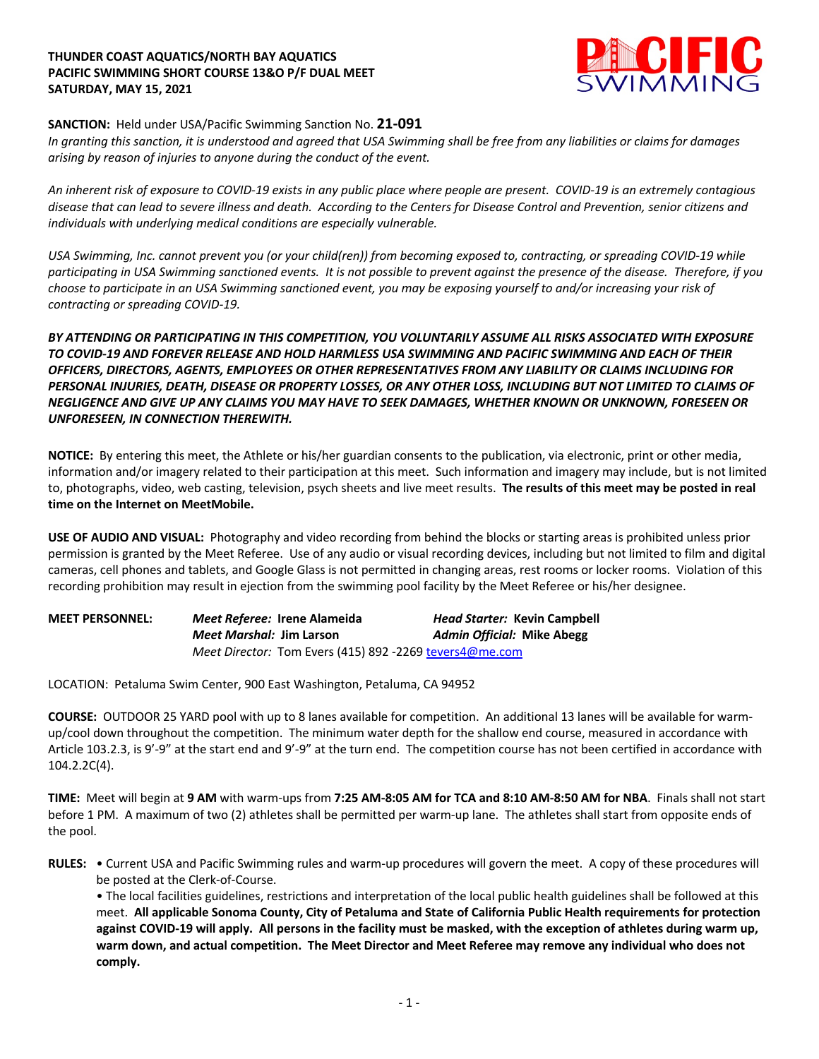## **THUNDER COAST AQUATICS/NORTH BAY AQUATICS PACIFIC SWIMMING SHORT COURSE 13&O P/F DUAL MEET SATURDAY, MAY 15, 2021**



## **SANCTION:** Held under USA/Pacific Swimming Sanction No. **21-091**

*In granting this sanction, it is understood and agreed that USA Swimming shall be free from any liabilities or claims for damages arising by reason of injuries to anyone during the conduct of the event.*

*An inherent risk of exposure to COVID-19 exists in any public place where people are present. COVID-19 is an extremely contagious disease that can lead to severe illness and death. According to the Centers for Disease Control and Prevention, senior citizens and individuals with underlying medical conditions are especially vulnerable.*

*USA Swimming, Inc. cannot prevent you (or your child(ren)) from becoming exposed to, contracting, or spreading COVID-19 while participating in USA Swimming sanctioned events. It is not possible to prevent against the presence of the disease. Therefore, if you choose to participate in an USA Swimming sanctioned event, you may be exposing yourself to and/or increasing your risk of contracting or spreading COVID-19.*

*BY ATTENDING OR PARTICIPATING IN THIS COMPETITION, YOU VOLUNTARILY ASSUME ALL RISKS ASSOCIATED WITH EXPOSURE TO COVID-19 AND FOREVER RELEASE AND HOLD HARMLESS USA SWIMMING AND PACIFIC SWIMMING AND EACH OF THEIR OFFICERS, DIRECTORS, AGENTS, EMPLOYEES OR OTHER REPRESENTATIVES FROM ANY LIABILITY OR CLAIMS INCLUDING FOR PERSONAL INJURIES, DEATH, DISEASE OR PROPERTY LOSSES, OR ANY OTHER LOSS, INCLUDING BUT NOT LIMITED TO CLAIMS OF NEGLIGENCE AND GIVE UP ANY CLAIMS YOU MAY HAVE TO SEEK DAMAGES, WHETHER KNOWN OR UNKNOWN, FORESEEN OR UNFORESEEN, IN CONNECTION THEREWITH.*

**NOTICE:** By entering this meet, the Athlete or his/her guardian consents to the publication, via electronic, print or other media, information and/or imagery related to their participation at this meet. Such information and imagery may include, but is not limited to, photographs, video, web casting, television, psych sheets and live meet results. **The results of this meet may be posted in real time on the Internet on MeetMobile.**

**USE OF AUDIO AND VISUAL:** Photography and video recording from behind the blocks or starting areas is prohibited unless prior permission is granted by the Meet Referee. Use of any audio or visual recording devices, including but not limited to film and digital cameras, cell phones and tablets, and Google Glass is not permitted in changing areas, rest rooms or locker rooms. Violation of this recording prohibition may result in ejection from the swimming pool facility by the Meet Referee or his/her designee.

| <b>MEET PERSONNEL:</b> | Meet Referee: Irene Alameida                            | <b>Head Starter: Kevin Campbell</b> |
|------------------------|---------------------------------------------------------|-------------------------------------|
|                        | <i>Meet Marshal: Jim Larson</i>                         | Admin Official: Mike Abegg          |
|                        | Meet Director: Tom Evers (415) 892 -2269 tevers4@me.com |                                     |

LOCATION: Petaluma Swim Center, 900 East Washington, Petaluma, CA 94952

**COURSE:** OUTDOOR 25 YARD pool with up to 8 lanes available for competition. An additional 13 lanes will be available for warmup/cool down throughout the competition. The minimum water depth for the shallow end course, measured in accordance with Article 103.2.3, is 9'-9" at the start end and 9'-9" at the turn end. The competition course has not been certified in accordance with 104.2.2C(4).

**TIME:** Meet will begin at **9 AM** with warm-ups from **7:25 AM-8:05 AM for TCA and 8:10 AM-8:50 AM for NBA**. Finals shall not start before 1 PM. A maximum of two (2) athletes shall be permitted per warm-up lane. The athletes shall start from opposite ends of the pool.

**RULES:** • Current USA and Pacific Swimming rules and warm-up procedures will govern the meet. A copy of these procedures will be posted at the Clerk-of-Course.

• The local facilities guidelines, restrictions and interpretation of the local public health guidelines shall be followed at this meet. **All applicable Sonoma County, City of Petaluma and State of California Public Health requirements for protection against COVID-19 will apply. All persons in the facility must be masked, with the exception of athletes during warm up, warm down, and actual competition. The Meet Director and Meet Referee may remove any individual who does not comply.**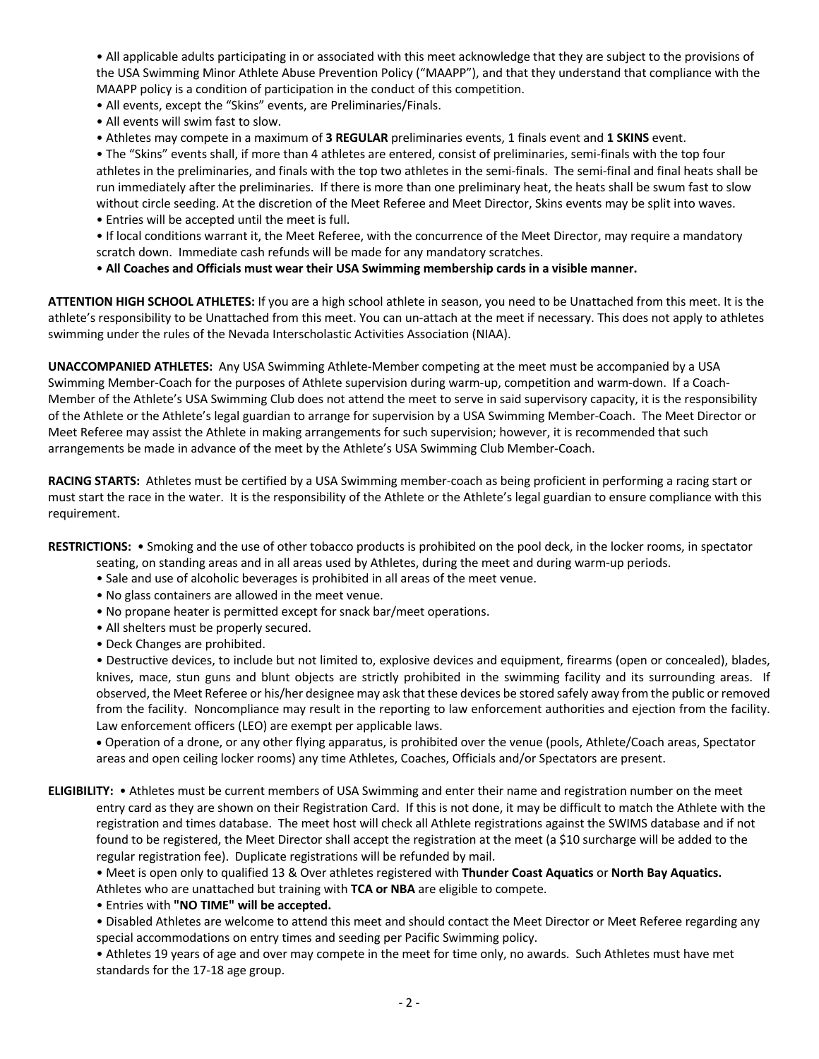• All applicable adults participating in or associated with this meet acknowledge that they are subject to the provisions of the USA Swimming Minor Athlete Abuse Prevention Policy ("MAAPP"), and that they understand that compliance with the MAAPP policy is a condition of participation in the conduct of this competition.

• All events, except the "Skins" events, are Preliminaries/Finals.

• All events will swim fast to slow.

• Athletes may compete in a maximum of **3 REGULAR** preliminaries events, 1 finals event and **1 SKINS** event.

• The "Skins" events shall, if more than 4 athletes are entered, consist of preliminaries, semi-finals with the top four athletes in the preliminaries, and finals with the top two athletes in the semi-finals. The semi-final and final heats shall be run immediately after the preliminaries. If there is more than one preliminary heat, the heats shall be swum fast to slow without circle seeding. At the discretion of the Meet Referee and Meet Director, Skins events may be split into waves.

• Entries will be accepted until the meet is full.

• If local conditions warrant it, the Meet Referee, with the concurrence of the Meet Director, may require a mandatory scratch down. Immediate cash refunds will be made for any mandatory scratches.

• **All Coaches and Officials must wear their USA Swimming membership cards in a visible manner.**

**ATTENTION HIGH SCHOOL ATHLETES:** If you are a high school athlete in season, you need to be Unattached from this meet. It is the athlete's responsibility to be Unattached from this meet. You can un-attach at the meet if necessary. This does not apply to athletes swimming under the rules of the Nevada Interscholastic Activities Association (NIAA).

**UNACCOMPANIED ATHLETES:** Any USA Swimming Athlete-Member competing at the meet must be accompanied by a USA Swimming Member-Coach for the purposes of Athlete supervision during warm-up, competition and warm-down. If a Coach-Member of the Athlete's USA Swimming Club does not attend the meet to serve in said supervisory capacity, it is the responsibility of the Athlete or the Athlete's legal guardian to arrange for supervision by a USA Swimming Member-Coach. The Meet Director or Meet Referee may assist the Athlete in making arrangements for such supervision; however, it is recommended that such arrangements be made in advance of the meet by the Athlete's USA Swimming Club Member-Coach.

**RACING STARTS:** Athletes must be certified by a USA Swimming member-coach as being proficient in performing a racing start or must start the race in the water. It is the responsibility of the Athlete or the Athlete's legal guardian to ensure compliance with this requirement.

**RESTRICTIONS:** • Smoking and the use of other tobacco products is prohibited on the pool deck, in the locker rooms, in spectator

- seating, on standing areas and in all areas used by Athletes, during the meet and during warm-up periods.
- Sale and use of alcoholic beverages is prohibited in all areas of the meet venue.
- No glass containers are allowed in the meet venue.
- No propane heater is permitted except for snack bar/meet operations.
- All shelters must be properly secured.
- Deck Changes are prohibited.

• Destructive devices, to include but not limited to, explosive devices and equipment, firearms (open or concealed), blades, knives, mace, stun guns and blunt objects are strictly prohibited in the swimming facility and its surrounding areas. If observed, the Meet Referee or his/her designee may ask that these devices be stored safely away from the public or removed from the facility. Noncompliance may result in the reporting to law enforcement authorities and ejection from the facility. Law enforcement officers (LEO) are exempt per applicable laws.

• Operation of a drone, or any other flying apparatus, is prohibited over the venue (pools, Athlete/Coach areas, Spectator areas and open ceiling locker rooms) any time Athletes, Coaches, Officials and/or Spectators are present.

**ELIGIBILITY:** • Athletes must be current members of USA Swimming and enter their name and registration number on the meet entry card as they are shown on their Registration Card. If this is not done, it may be difficult to match the Athlete with the registration and times database. The meet host will check all Athlete registrations against the SWIMS database and if not found to be registered, the Meet Director shall accept the registration at the meet (a \$10 surcharge will be added to the regular registration fee). Duplicate registrations will be refunded by mail.

• Meet is open only to qualified 13 & Over athletes registered with **Thunder Coast Aquatics** or **North Bay Aquatics.**  Athletes who are unattached but training with **TCA or NBA** are eligible to compete.

• Entries with **"NO TIME" will be accepted.**

• Disabled Athletes are welcome to attend this meet and should contact the Meet Director or Meet Referee regarding any special accommodations on entry times and seeding per Pacific Swimming policy.

• Athletes 19 years of age and over may compete in the meet for time only, no awards. Such Athletes must have met standards for the 17-18 age group.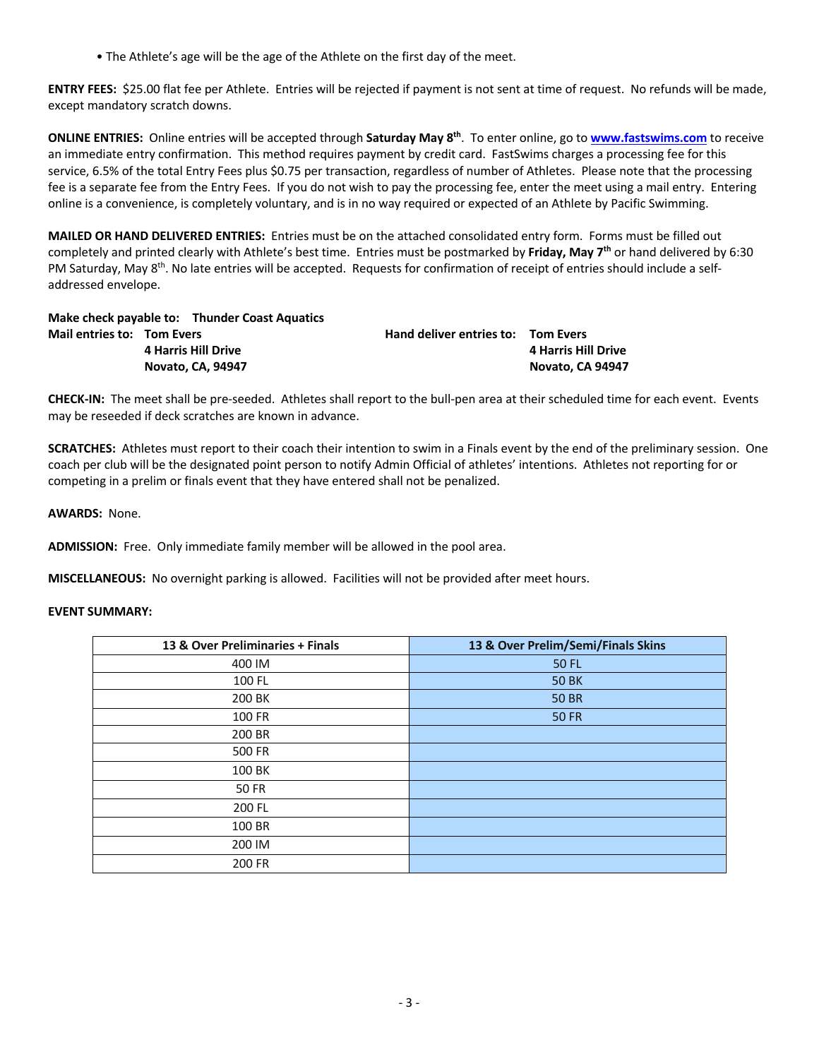• The Athlete's age will be the age of the Athlete on the first day of the meet.

**ENTRY FEES:** \$25.00 flat fee per Athlete. Entries will be rejected if payment is not sent at time of request. No refunds will be made, except mandatory scratch downs.

**ONLINE ENTRIES:** Online entries will be accepted through **Saturday May 8th**. To enter online, go to **www.fastswims.com** to receive an immediate entry confirmation. This method requires payment by credit card. FastSwims charges a processing fee for this service, 6.5% of the total Entry Fees plus \$0.75 per transaction, regardless of number of Athletes. Please note that the processing fee is a separate fee from the Entry Fees. If you do not wish to pay the processing fee, enter the meet using a mail entry. Entering online is a convenience, is completely voluntary, and is in no way required or expected of an Athlete by Pacific Swimming.

**MAILED OR HAND DELIVERED ENTRIES:** Entries must be on the attached consolidated entry form. Forms must be filled out completely and printed clearly with Athlete's best time. Entries must be postmarked by **Friday, May 7th** or hand delivered by 6:30 PM Saturday, May 8<sup>th</sup>. No late entries will be accepted. Requests for confirmation of receipt of entries should include a selfaddressed envelope.

**Make check payable to: Thunder Coast Aquatics Mail entries to: Tom Evers Hand deliver entries to: Tom Evers 4 Harris Hill Drive 4 Harris Hill Drive Novato, CA, 94947 Novato, CA 94947**

**CHECK-IN:** The meet shall be pre-seeded. Athletes shall report to the bull-pen area at their scheduled time for each event. Events may be reseeded if deck scratches are known in advance.

**SCRATCHES:** Athletes must report to their coach their intention to swim in a Finals event by the end of the preliminary session. One coach per club will be the designated point person to notify Admin Official of athletes' intentions. Athletes not reporting for or competing in a prelim or finals event that they have entered shall not be penalized.

**AWARDS:** None.

**ADMISSION:** Free. Only immediate family member will be allowed in the pool area.

**MISCELLANEOUS:** No overnight parking is allowed. Facilities will not be provided after meet hours.

## **EVENT SUMMARY:**

| 13 & Over Preliminaries + Finals | 13 & Over Prelim/Semi/Finals Skins |
|----------------------------------|------------------------------------|
| 400 IM                           | 50 FL                              |
| 100 FL                           | <b>50 BK</b>                       |
| 200 BK                           | <b>50 BR</b>                       |
| 100 FR                           | <b>50 FR</b>                       |
| 200 BR                           |                                    |
| 500 FR                           |                                    |
| 100 BK                           |                                    |
| <b>50 FR</b>                     |                                    |
| 200 FL                           |                                    |
| 100 BR                           |                                    |
| 200 IM                           |                                    |
| 200 FR                           |                                    |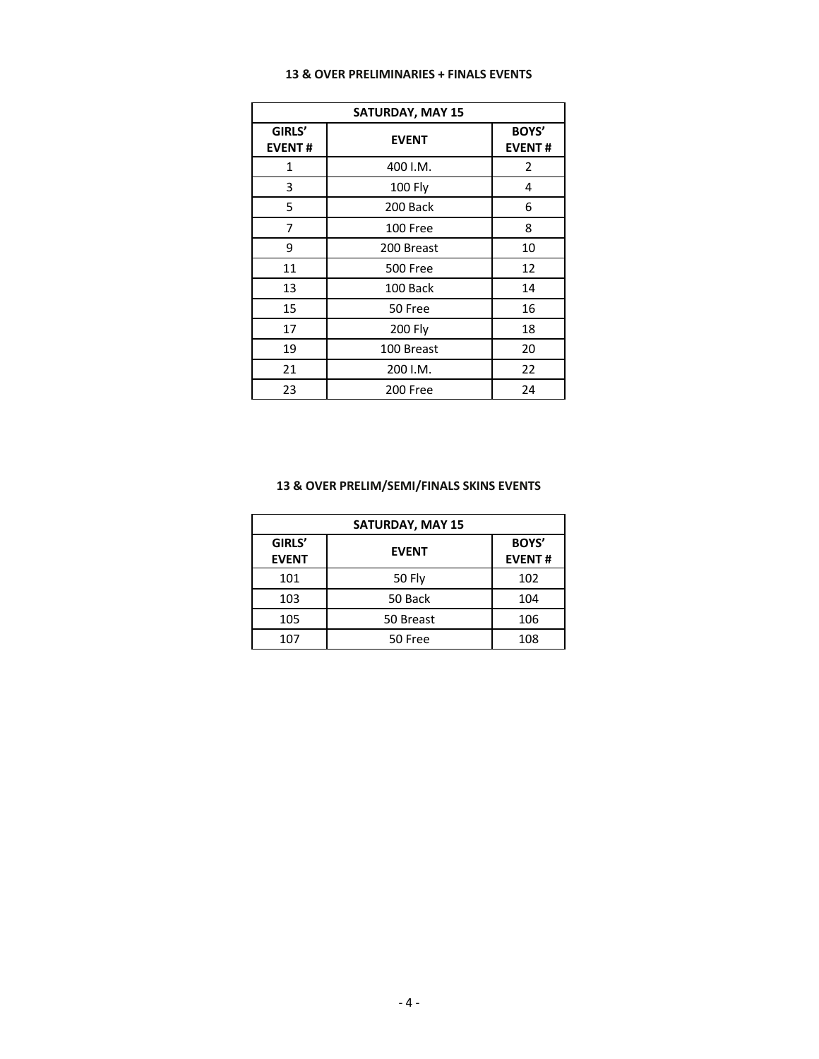|  |  |  | 13 & OVER PRELIMINARIES + FINALS EVENTS |  |  |  |
|--|--|--|-----------------------------------------|--|--|--|
|--|--|--|-----------------------------------------|--|--|--|

| <b>SATURDAY, MAY 15</b> |                 |                        |  |  |  |  |  |  |
|-------------------------|-----------------|------------------------|--|--|--|--|--|--|
| GIRLS'<br><b>EVENT#</b> | <b>EVENT</b>    | BOYS'<br><b>EVENT#</b> |  |  |  |  |  |  |
| 1                       | 400 I.M.        | $\overline{2}$         |  |  |  |  |  |  |
| 3                       | 100 Fly         | 4                      |  |  |  |  |  |  |
| 5                       | 200 Back        | 6                      |  |  |  |  |  |  |
| 7                       | 100 Free        | 8                      |  |  |  |  |  |  |
| 9                       | 200 Breast      | 10                     |  |  |  |  |  |  |
| 11                      | <b>500 Free</b> | 12                     |  |  |  |  |  |  |
| 13                      | 100 Back        | 14                     |  |  |  |  |  |  |
| 15                      | 50 Free         | 16                     |  |  |  |  |  |  |
| 17                      | 200 Fly         | 18                     |  |  |  |  |  |  |
| 19                      | 100 Breast      | 20                     |  |  |  |  |  |  |
| 21                      | 200 I.M.        | 22                     |  |  |  |  |  |  |
| 23                      | 200 Free        | 24                     |  |  |  |  |  |  |

## **13 & OVER PRELIM/SEMI/FINALS SKINS EVENTS**

| <b>SATURDAY, MAY 15</b> |                               |     |  |  |  |  |  |  |
|-------------------------|-------------------------------|-----|--|--|--|--|--|--|
| GIRLS'<br><b>EVENT</b>  | <b>BOYS'</b><br><b>EVENT#</b> |     |  |  |  |  |  |  |
| 101                     | 50 Fly                        | 102 |  |  |  |  |  |  |
| 103                     | 50 Back                       | 104 |  |  |  |  |  |  |
| 105                     | 50 Breast                     | 106 |  |  |  |  |  |  |
| 107                     | 50 Free                       | 108 |  |  |  |  |  |  |